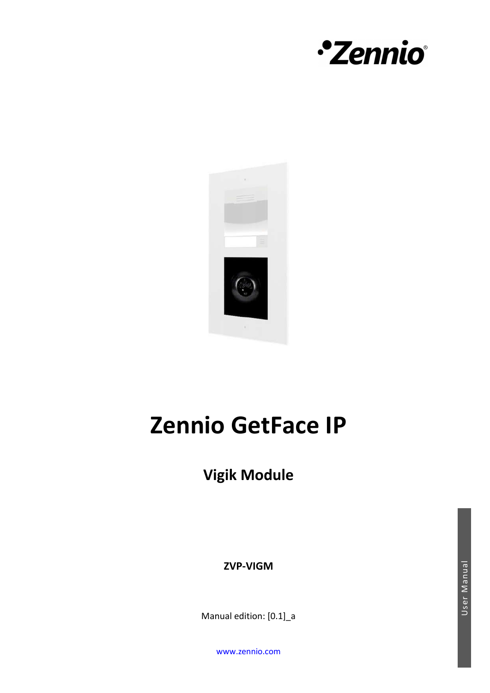



# **Zennio GetFace IP**

**Vigik Module**

**ZVP-VIGM**

Manual edition: [0.1]\_a

www.zennio.com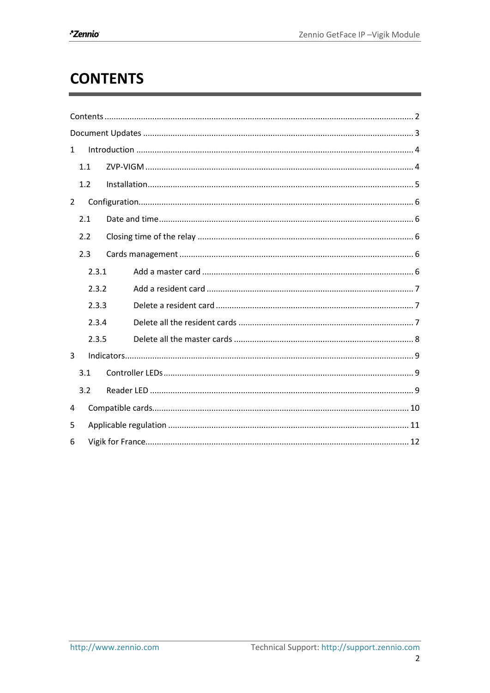# **CONTENTS**

| $\mathbf{1}$   |       |  |  |  |  |
|----------------|-------|--|--|--|--|
|                | 1.1   |  |  |  |  |
|                | 1.2   |  |  |  |  |
| $\overline{2}$ |       |  |  |  |  |
| 2.1            |       |  |  |  |  |
|                | 2.2   |  |  |  |  |
|                | 2.3   |  |  |  |  |
|                | 2.3.1 |  |  |  |  |
| 2.3.2<br>2.3.3 |       |  |  |  |  |
|                |       |  |  |  |  |
|                | 2.3.4 |  |  |  |  |
|                | 2.3.5 |  |  |  |  |
| 3              |       |  |  |  |  |
|                | 3.1   |  |  |  |  |
|                | 3.2   |  |  |  |  |
| 4              |       |  |  |  |  |
| 5              |       |  |  |  |  |
| 6              |       |  |  |  |  |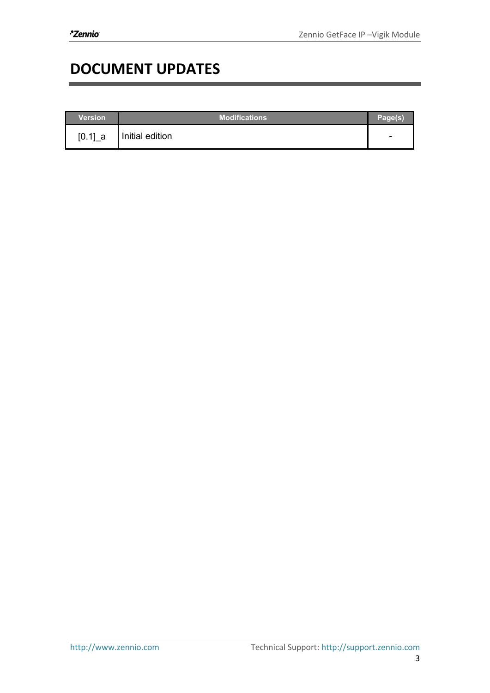# **DOCUMENT UPDATES**

| Version | <b>Modifications</b> | Page(s) |
|---------|----------------------|---------|
| [0.1] a | Initial edition      | -       |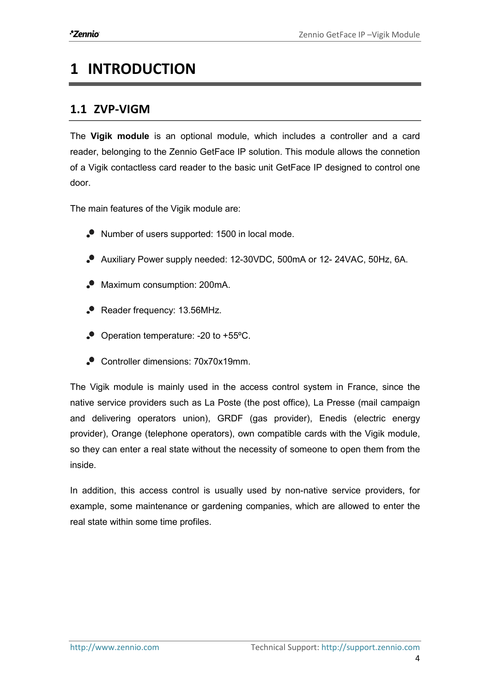# **1 INTRODUCTION**

#### **1.1 ZVP-VIGM**

The Vigik module is an optional module, which includes a controller and a card reader, belonging to the Zennio GetFace IP solution. This module allows the connetion of a Vigik contactless card reader to the basic unit GetFace IP designed to control one door.

The main features of the Vigik module are:

- Number of users supported: 1500 in local mode.
- Auxiliary Power supply needed: 12-30VDC, 500mA or 12- 24VAC, 50Hz, 6A.
- Maximum consumption: 200mA.
- Reader frequency: 13.56MHz.
- Operation temperature: -20 to +55ºC.
- Controller dimensions: 70x70x19mm.

The Vigik module is mainly used in the access control system in France, since the native service providers such as La Poste (the post office), La Presse (mail campaign and delivering operators union), GRDF (gas provider), Enedis (electric energy provider), Orange (telephone operators), own compatible cards with the Vigik module, so they can enter a real state without the necessity of someone to open them from the inside.

In addition, this access control is usually used by non-native service providers, for example, some maintenance or gardening companies, which are allowed to enter the real state within some time profiles.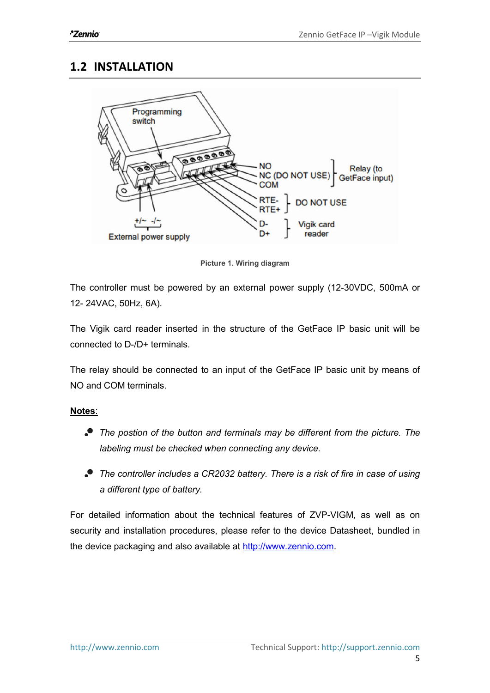#### **1.2 INSTALLATION**



Picture 1. Wiring diagram

The controller must be powered by an external power supply (12-30VDC, 500mA or 12- 24VAC, 50Hz, 6A).

The Vigik card reader inserted in the structure of the GetFace IP basic unit will be connected to D-/D+ terminals.

The relay should be connected to an input of the GetFace IP basic unit by means of NO and COM terminals.

#### Notes:

- *The postion of the button and terminals may be different from the picture. The labeling must be checked when connecting any device.*
- *The controller includes a CR2032 battery. There is a risk of fire in case of using a different type of battery.*

For detailed information about the technical features of ZVP-VIGM, as well as on security and installation procedures, please refer to the device Datasheet, bundled in the device packaging and also available at http://www.zennio.com.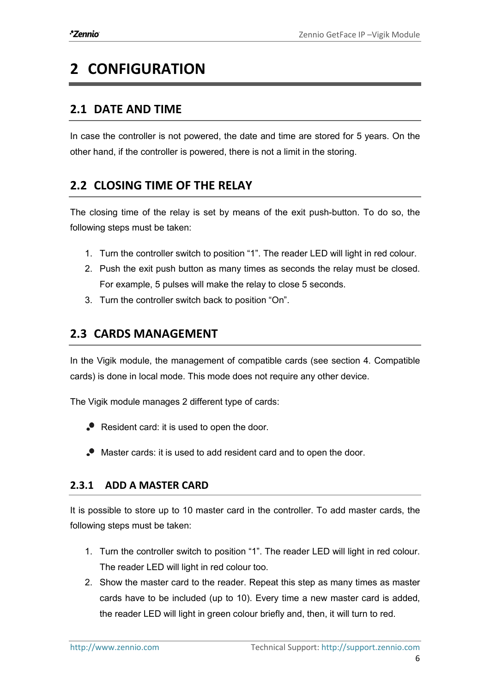# **2 CONFIGURATION**

### **2.1 DATE AND TIME**

In case the controller is not powered, the date and time are stored for 5 years. On the other hand, if the controller is powered, there is not a limit in the storing.

### **2.2 CLOSING TIME OF THE RELAY**

The closing time of the relay is set by means of the exit push-button. To do so, the following steps must be taken:

- 1. Turn the controller switch to position "1". The reader LED will light in red colour.
- 2. Push the exit push button as many times as seconds the relay must be closed. For example, 5 pulses will make the relay to close 5 seconds.
- 3. Turn the controller switch back to position "On".

### **2.3 CARDS MANAGEMENT**

In the Vigik module, the management of compatible cards (see section 4. Compatible cards) is done in local mode. This mode does not require any other device.

The Vigik module manages 2 different type of cards:

- Resident card: it is used to open the door.
- Master cards: it is used to add resident card and to open the door.

#### **2.3.1 ADD A MASTER CARD**

It is possible to store up to 10 master card in the controller. To add master cards, the following steps must be taken:

- 1. Turn the controller switch to position "1". The reader LED will light in red colour. The reader LED will light in red colour too.
- 2. Show the master card to the reader. Repeat this step as many times as master cards have to be included (up to 10). Every time a new master card is added, the reader LED will light in green colour briefly and, then, it will turn to red.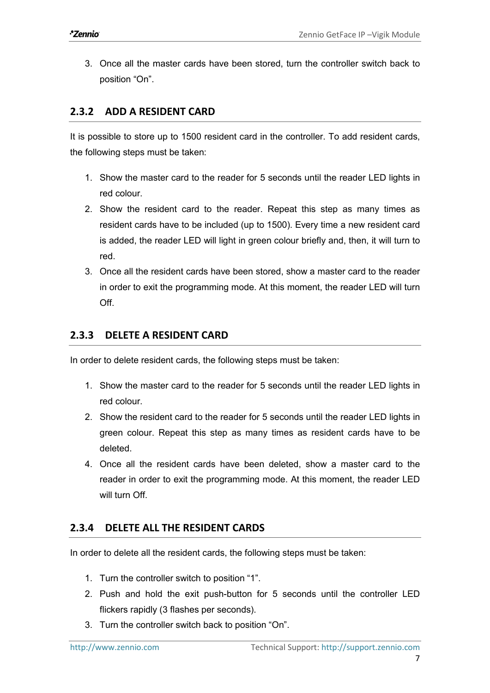3. Once all the master cards have been stored, turn the controller switch back to position "On".

#### **2.3.2 ADD A RESIDENT CARD**

It is possible to store up to 1500 resident card in the controller. To add resident cards, the following steps must be taken:

- 1. Show the master card to the reader for 5 seconds until the reader LED lights in red colour.
- 2. Show the resident card to the reader. Repeat this step as many times as resident cards have to be included (up to 1500). Every time a new resident card is added, the reader LED will light in green colour briefly and, then, it will turn to red.
- 3. Once all the resident cards have been stored, show a master card to the reader in order to exit the programming mode. At this moment, the reader LED will turn Off.

#### **2.3.3 DELETE A RESIDENT CARD**

In order to delete resident cards, the following steps must be taken:

- 1. Show the master card to the reader for 5 seconds until the reader LED lights in red colour.
- 2. Show the resident card to the reader for 5 seconds until the reader LED lights in green colour. Repeat this step as many times as resident cards have to be deleted.
- 4. Once all the resident cards have been deleted, show a master card to the reader in order to exit the programming mode. At this moment, the reader LED will turn Off

#### **2.3.4 DELETE ALL THE RESIDENT CARDS**

In order to delete all the resident cards, the following steps must be taken:

- 1. Turn the controller switch to position "1".
- 2. Push and hold the exit push-button for 5 seconds until the controller LED flickers rapidly (3 flashes per seconds).
- 3. Turn the controller switch back to position "On".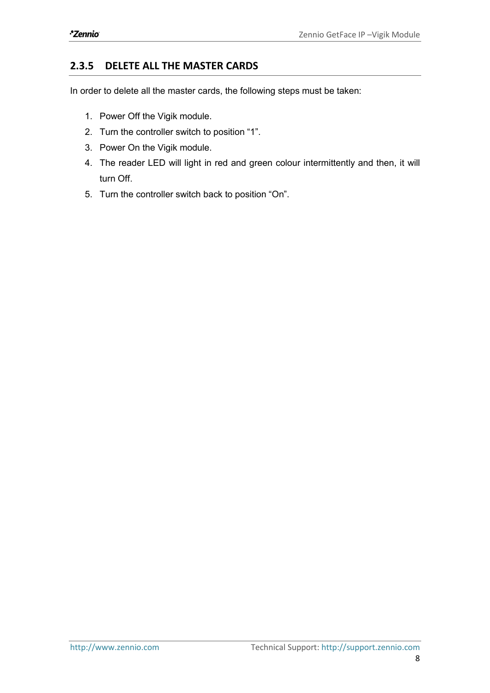#### **2.3.5 DELETE ALL THE MASTER CARDS**

In order to delete all the master cards, the following steps must be taken:

- 1. Power Off the Vigik module.
- 2. Turn the controller switch to position "1".
- 3. Power On the Vigik module.
- 4. The reader LED will light in red and green colour intermittently and then, it will turn Off.
- 5. Turn the controller switch back to position "On".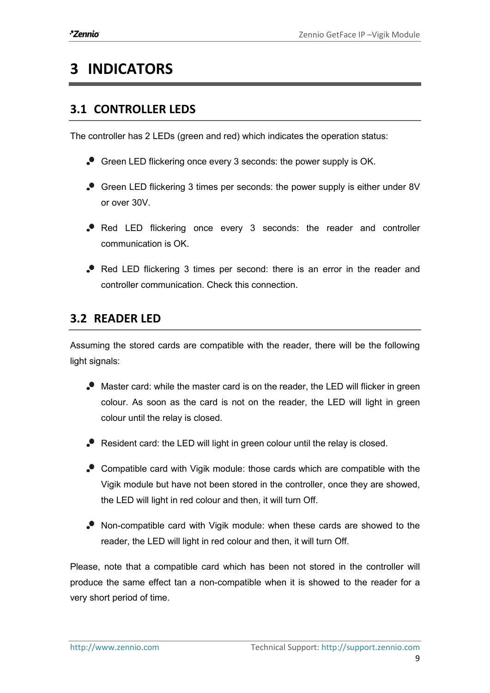# **3 INDICATORS**

### **3.1 CONTROLLER LEDS**

The controller has 2 LEDs (green and red) which indicates the operation status:

- Green LED flickering once every 3 seconds: the power supply is OK.
- Green LED flickering 3 times per seconds: the power supply is either under 8V or over 30V.
- Red LED flickering once every 3 seconds: the reader and controller communication is OK.
- Red LED flickering 3 times per second: there is an error in the reader and controller communication. Check this connection.

### **3.2 READER LED**

Assuming the stored cards are compatible with the reader, there will be the following light signals:

- Master card: while the master card is on the reader, the LED will flicker in green colour. As soon as the card is not on the reader, the LED will light in green colour until the relay is closed.
- Resident card: the LED will light in green colour until the relay is closed.
- Compatible card with Vigik module: those cards which are compatible with the Vigik module but have not been stored in the controller, once they are showed, the LED will light in red colour and then, it will turn Off.
- Non-compatible card with Vigik module: when these cards are showed to the reader, the LED will light in red colour and then, it will turn Off.

Please, note that a compatible card which has been not stored in the controller will produce the same effect tan a non-compatible when it is showed to the reader for a very short period of time.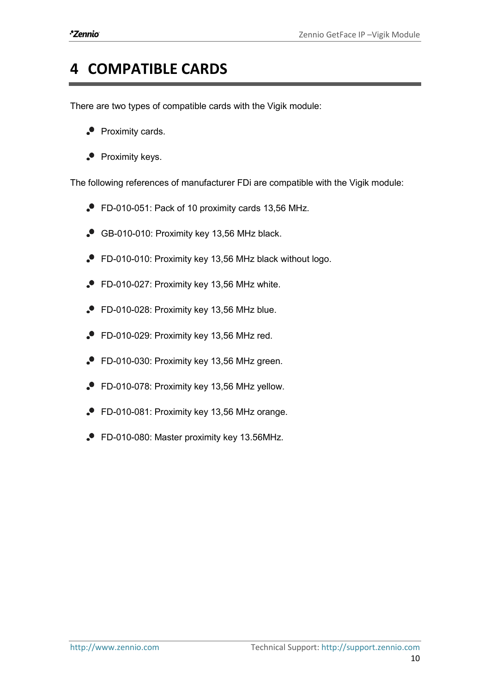### **4 COMPATIBLE CARDS**

There are two types of compatible cards with the Vigik module:

- $\bullet$  Proximity cards.
- $\bullet$  Proximity keys.

The following references of manufacturer FDi are compatible with the Vigik module:

- FD-010-051: Pack of 10 proximity cards 13,56 MHz.
- GB-010-010: Proximity key 13,56 MHz black.
- FD-010-010: Proximity key 13,56 MHz black without logo.
- FD-010-027: Proximity key 13,56 MHz white.
- FD-010-028: Proximity key 13,56 MHz blue.
- FD-010-029: Proximity key 13,56 MHz red.
- FD-010-030: Proximity key 13,56 MHz green.
- FD-010-078: Proximity key 13,56 MHz yellow.
- FD-010-081: Proximity key 13,56 MHz orange.
- FD-010-080: Master proximity key 13.56MHz.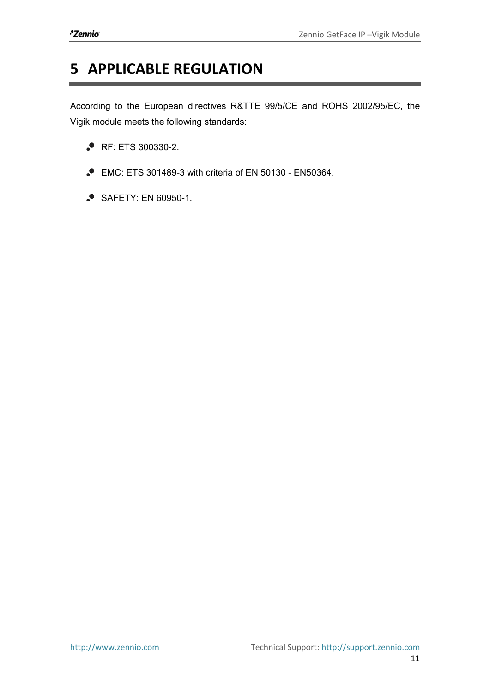# **5 APPLICABLE REGULATION**

According to the European directives R&TTE 99/5/CE and ROHS 2002/95/EC, the Vigik module meets the following standards:

- **P** RF: ETS 300330-2.
- EMC: ETS 301489-3 with criteria of EN 50130 EN50364.
- SAFETY: EN 60950-1.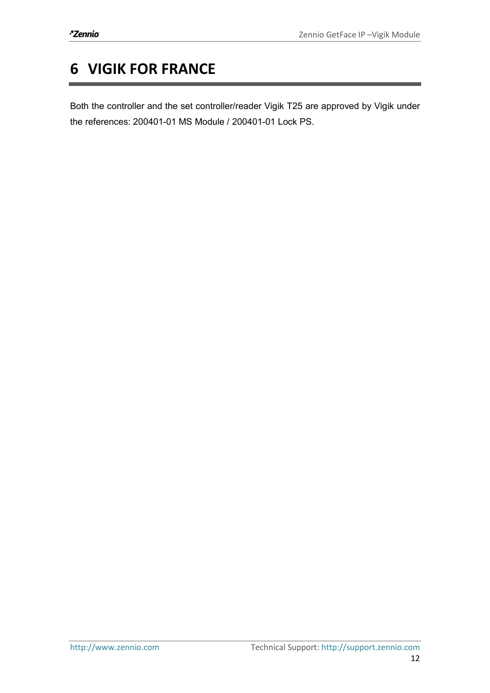# **6 VIGIK FOR FRANCE**

Both the controller and the set controller/reader Vigik T25 are approved by Vigik under the references: 200401-01 MS Module / 200401-01 Lock PS.